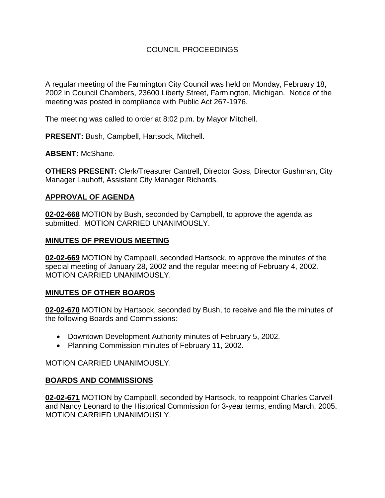# COUNCIL PROCEEDINGS

A regular meeting of the Farmington City Council was held on Monday, February 18, 2002 in Council Chambers, 23600 Liberty Street, Farmington, Michigan. Notice of the meeting was posted in compliance with Public Act 267-1976.

The meeting was called to order at 8:02 p.m. by Mayor Mitchell.

**PRESENT:** Bush, Campbell, Hartsock, Mitchell.

**ABSENT:** McShane.

**OTHERS PRESENT:** Clerk/Treasurer Cantrell, Director Goss, Director Gushman, City Manager Lauhoff, Assistant City Manager Richards.

#### **APPROVAL OF AGENDA**

**02-02-668** MOTION by Bush, seconded by Campbell, to approve the agenda as submitted. MOTION CARRIED UNANIMOUSLY.

#### **MINUTES OF PREVIOUS MEETING**

**02-02-669** MOTION by Campbell, seconded Hartsock, to approve the minutes of the special meeting of January 28, 2002 and the regular meeting of February 4, 2002. MOTION CARRIED UNANIMOUSLY.

## **MINUTES OF OTHER BOARDS**

**02-02-670** MOTION by Hartsock, seconded by Bush, to receive and file the minutes of the following Boards and Commissions:

- Downtown Development Authority minutes of February 5, 2002.
- Planning Commission minutes of February 11, 2002.

MOTION CARRIED UNANIMOUSLY.

## **BOARDS AND COMMISSIONS**

**02-02-671** MOTION by Campbell, seconded by Hartsock, to reappoint Charles Carvell and Nancy Leonard to the Historical Commission for 3-year terms, ending March, 2005. MOTION CARRIED UNANIMOUSLY.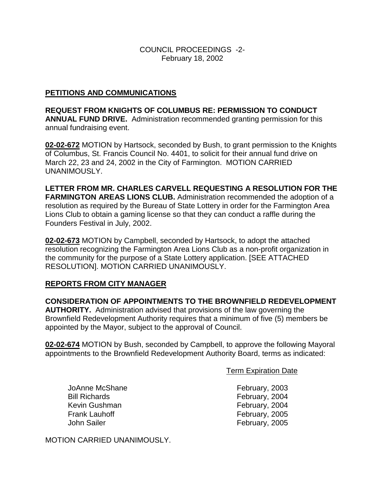COUNCIL PROCEEDINGS -2- February 18, 2002

## **PETITIONS AND COMMUNICATIONS**

**REQUEST FROM KNIGHTS OF COLUMBUS RE: PERMISSION TO CONDUCT ANNUAL FUND DRIVE.** Administration recommended granting permission for this annual fundraising event.

**02-02-672** MOTION by Hartsock, seconded by Bush, to grant permission to the Knights of Columbus, St. Francis Council No. 4401, to solicit for their annual fund drive on March 22, 23 and 24, 2002 in the City of Farmington. MOTION CARRIED UNANIMOUSLY.

**LETTER FROM MR. CHARLES CARVELL REQUESTING A RESOLUTION FOR THE FARMINGTON AREAS LIONS CLUB.** Administration recommended the adoption of a resolution as required by the Bureau of State Lottery in order for the Farmington Area Lions Club to obtain a gaming license so that they can conduct a raffle during the Founders Festival in July, 2002.

**02-02-673** MOTION by Campbell, seconded by Hartsock, to adopt the attached resolution recognizing the Farmington Area Lions Club as a non-profit organization in the community for the purpose of a State Lottery application. [SEE ATTACHED RESOLUTION]. MOTION CARRIED UNANIMOUSLY.

## **REPORTS FROM CITY MANAGER**

**CONSIDERATION OF APPOINTMENTS TO THE BROWNFIELD REDEVELOPMENT AUTHORITY.** Administration advised that provisions of the law governing the Brownfield Redevelopment Authority requires that a minimum of five (5) members be appointed by the Mayor, subject to the approval of Council.

**02-02-674** MOTION by Bush, seconded by Campbell, to approve the following Mayoral appointments to the Brownfield Redevelopment Authority Board, terms as indicated:

Term Expiration Date

JoAnne McShane **February**, 2003 Bill Richards **February**, 2004 Kevin Gushman February, 2004 Frank Lauhoff **Frank Lauhoff February**, 2005 John Sailer **February**, 2005

MOTION CARRIED UNANIMOUSLY.